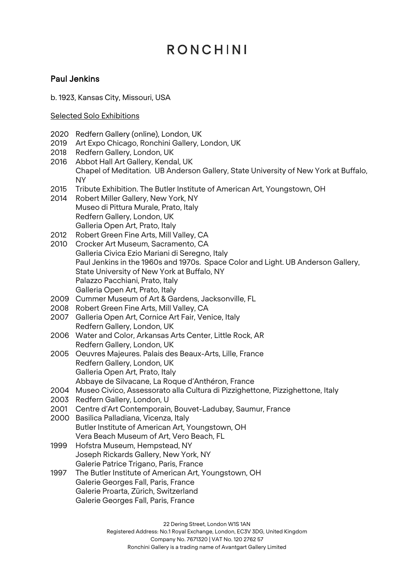### Paul Jenkins

b. 1923, Kansas City, Missouri, USA

#### Selected Solo Exhibitions

- 2020 Redfern Gallery (online), London, UK
- 2019 Art Expo Chicago, Ronchini Gallery, London, UK
- 2018 Redfern Gallery, London, UK
- 2016 Abbot Hall Art Gallery, Kendal, UK Chapel of Meditation. UB Anderson Gallery, State University of New York at Buffalo, NY
- 2015 Tribute Exhibition. The Butler Institute of American Art, Youngstown, OH
- 2014 Robert Miller Gallery, New York, NY Museo di Pittura Murale, Prato, Italy Redfern Gallery, London, UK Galleria Open Art, Prato, Italy
- 2012 Robert Green Fine Arts, Mill Valley, CA
- 2010 Crocker Art Museum, Sacramento, CA Galleria Civica Ezio Mariani di Seregno, Italy Paul Jenkins in the 1960s and 1970s. Space Color and Light. UB Anderson Gallery, State University of New York at Buffalo, NY Palazzo Pacchiani, Prato, Italy Galleria Open Art, Prato, Italy
- 2009 Cummer Museum of Art & Gardens, Jacksonville, FL
- 2008 Robert Green Fine Arts, Mill Valley, CA
- 2007 Galleria Open Art, Cornice Art Fair, Venice, Italy Redfern Gallery, London, UK
- 2006 Water and Color, Arkansas Arts Center, Little Rock, AR Redfern Gallery, London, UK
- 2005 Oeuvres Majeures. Palais des Beaux-Arts, Lille, France Redfern Gallery, London, UK Galleria Open Art, Prato, Italy Abbaye de Silvacane, La Roque d'Anthéron, France
- 2004 Museo Civico, Assessorato alla Cultura di Pizzighettone, Pizzighettone, Italy
- 2003 Redfern Gallery, London, U
- 2001 Centre d'Art Contemporain, Bouvet-Ladubay, Saumur, France
- 2000 Basilica Palladiana, Vicenza, Italy Butler Institute of American Art, Youngstown, OH Vera Beach Museum of Art, Vero Beach, FL
- 1999 Hofstra Museum, Hempstead, NY Joseph Rickards Gallery, New York, NY Galerie Patrice Trigano, Paris, France
- 1997 The Butler Institute of American Art, Youngstown, OH Galerie Georges Fall, Paris, France Galerie Proarta, Zürich, Switzerland Galerie Georges Fall, Paris, France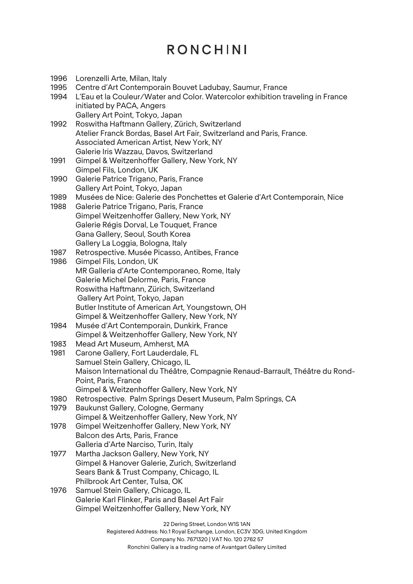| 1996 | Lorenzelli Arte, Milan, Italy                                                  |
|------|--------------------------------------------------------------------------------|
| 1995 | Centre d'Art Contemporain Bouvet Ladubay, Saumur, France                       |
| 1994 | L'Eau et la Couleur/Water and Color. Watercolor exhibition traveling in France |
|      | initiated by PACA, Angers                                                      |
|      | Gallery Art Point, Tokyo, Japan                                                |
| 1992 | Roswitha Haftmann Gallery, Zürich, Switzerland                                 |
|      | Atelier Franck Bordas, Basel Art Fair, Switzerland and Paris, France.          |
|      | Associated American Artist, New York, NY                                       |
|      | Galerie Iris Wazzau, Davos, Switzerland                                        |
| 1991 | Gimpel & Weitzenhoffer Gallery, New York, NY                                   |
|      | Gimpel Fils, London, UK                                                        |
| 1990 | Galerie Patrice Trigano, Paris, France                                         |
|      | Gallery Art Point, Tokyo, Japan                                                |
|      |                                                                                |
| 1989 | Musées de Nice: Galerie des Ponchettes et Galerie d'Art Contemporain, Nice     |
| 1988 | Galerie Patrice Trigano, Paris, France                                         |
|      | Gimpel Weitzenhoffer Gallery, New York, NY                                     |
|      | Galerie Régis Dorval, Le Touquet, France                                       |
|      | Gana Gallery, Seoul, South Korea                                               |
|      | Gallery La Loggia, Bologna, Italy                                              |
| 1987 | Retrospective. Musée Picasso, Antibes, France                                  |
| 1986 | Gimpel Fils, London, UK                                                        |
|      | MR Galleria d'Arte Contemporaneo, Rome, Italy                                  |
|      | Galerie Michel Delorme, Paris, France                                          |
|      | Roswitha Haftmann, Zürich, Switzerland                                         |
|      | Gallery Art Point, Tokyo, Japan                                                |
|      | Butler Institute of American Art, Youngstown, OH                               |
|      | Gimpel & Weitzenhoffer Gallery, New York, NY                                   |
| 1984 | Musée d'Art Contemporain, Dunkirk, France                                      |
|      | Gimpel & Weitzenhoffer Gallery, New York, NY                                   |
| 1983 | Mead Art Museum, Amherst, MA                                                   |
| 1981 | Carone Gallery, Fort Lauderdale, FL                                            |
|      | Samuel Stein Gallery, Chicago, IL                                              |
|      | Maison International du Théâtre, Compagnie Renaud-Barrault, Théâtre du Rond-   |
|      | Point, Paris, France                                                           |
|      | Gimpel & Weitzenhoffer Gallery, New York, NY                                   |
| 1980 | Retrospective. Palm Springs Desert Museum, Palm Springs, CA                    |
| 1979 | Baukunst Gallery, Cologne, Germany                                             |
|      | Gimpel & Weitzenhoffer Gallery, New York, NY                                   |
| 1978 | Gimpel Weitzenhoffer Gallery, New York, NY                                     |
|      | Balcon des Arts, Paris, France                                                 |
|      | Galleria d'Arte Narciso, Turin, Italy                                          |
| 1977 | Martha Jackson Gallery, New York, NY                                           |
|      | Gimpel & Hanover Galerie, Zurich, Switzerland                                  |
|      | Sears Bank & Trust Company, Chicago, IL                                        |
|      | Philbrook Art Center, Tulsa, OK                                                |
| 1976 | Samuel Stein Gallery, Chicago, IL                                              |
|      | Galerie Karl Flinker, Paris and Basel Art Fair                                 |
|      | Gimpel Weitzenhoffer Gallery, New York, NY                                     |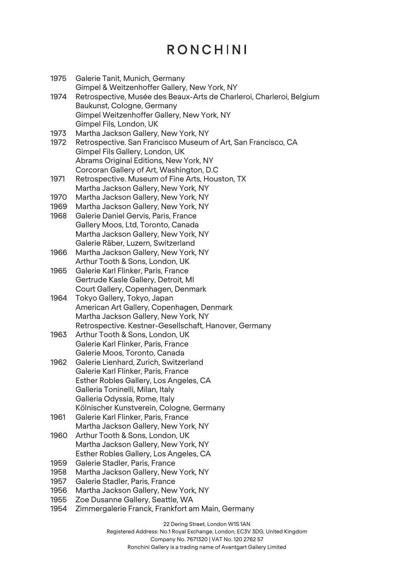| 1975 | Galerie Tanit, Munich, Germany                                        |
|------|-----------------------------------------------------------------------|
|      | Gimpel & Weitzenhoffer Gallery, New York, NY                          |
| 1974 | Retrospective, Musée des Beaux-Arts de Charleroi, Charleroi, Belgium  |
|      | Baukunst, Cologne, Germany                                            |
|      | Gimpel Weitzenhoffer Gallery, New York, NY<br>Gimpel Fils, London, UK |
| 1973 | Martha Jackson Gallery, New York, NY                                  |
| 1972 | Retrospective. San Francisco Museum of Art, San Francisco, CA         |
|      | Gimpel Fils Gallery, London, UK                                       |
|      | Abrams Original Editions, New York, NY                                |
|      | Corcoran Gallery of Art, Washington, D.C.                             |
| 1971 | Retrospective. Museum of Fine Arts, Houston, TX                       |
|      | Martha Jackson Gallery, New York, NY                                  |
| 1970 | Martha Jackson Gallery, New York, NY                                  |
| 1969 | Martha Jackson Gallery, New York, NY                                  |
| 1968 | Galerie Daniel Gervis, Paris, France                                  |
|      | Gallery Moos, Ltd, Toronto, Canada                                    |
|      | Martha Jackson Gallery, New York, NY                                  |
|      | Galerie Räber, Luzern, Switzerland                                    |
| 1966 | Martha Jackson Gallery, New York, NY                                  |
|      | Arthur Tooth & Sons, London, UK                                       |
| 1965 | Galerie Karl Flinker, Paris, France                                   |
|      | Gertrude Kasle Gallery, Detroit, MI                                   |
|      | Court Gallery, Copenhagen, Denmark                                    |
| 1964 | Tokyo Gallery, Tokyo, Japan                                           |
|      | American Art Gallery, Copenhagen, Denmark                             |
|      | Martha Jackson Gallery, New York, NY                                  |
|      | Retrospective. Kestner-Gesellschaft, Hanover, Germany                 |
| 1963 | Arthur Tooth & Sons, London, UK                                       |
|      | Galerie Karl Flinker, Paris, France                                   |
|      | Galerie Moos, Toronto, Canada                                         |
| 1962 | Galerie Lienhard, Zurich, Switzerland                                 |
|      | Galerie Karl Flinker, Paris, France                                   |
|      | Esther Robles Gallery, Los Angeles, CA                                |
|      | Galleria Toninelli, Milan, Italy                                      |
|      | Galleria Odyssia, Rome, Italy                                         |
|      | Kölnischer Kunstverein, Cologne, Germany                              |
| 1961 | Galerie Karl Flinker, Paris, France                                   |
|      | Martha Jackson Gallery, New York, NY                                  |
| 1960 | Arthur Tooth & Sons, London, UK                                       |
|      | Martha Jackson Gallery, New York, NY                                  |
|      | Esther Robles Gallery, Los Angeles, CA                                |
| 1959 | Galerie Stadler, Paris, France                                        |
| 1958 | Martha Jackson Gallery, New York, NY                                  |
| 1957 | Galerie Stadler, Paris, France                                        |
| 1956 | Martha Jackson Gallery, New York, NY                                  |
| 1955 | Zoe Dusanne Gallery, Seattle, WA                                      |
| 1954 | Zimmergalerie Franck, Frankfort am Main, Germany                      |
|      |                                                                       |

22 Dering Street, London W1S 1AN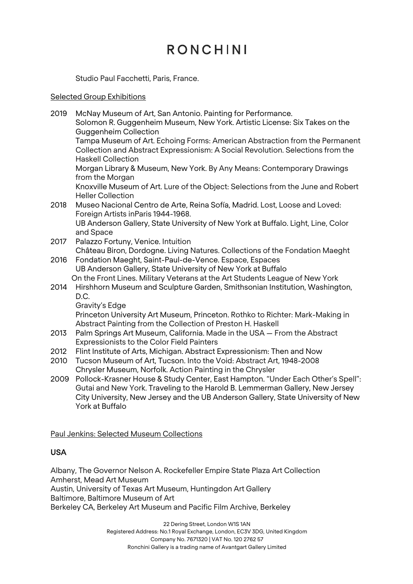Studio Paul Facchetti, Paris, France.

#### Selected Group Exhibitions

| 2019<br>McNay Museum of Art, San Antonio. Painting for Performance.<br>Solomon R. Guggenheim Museum, New York. Artistic License: Six Takes on the<br><b>Guggenheim Collection</b><br>Tampa Museum of Art. Echoing Forms: American Abstraction from the Permanent<br>Collection and Abstract Expressionism: A Social Revolution. Selections from the<br><b>Haskell Collection</b><br>Morgan Library & Museum, New York. By Any Means: Contemporary Drawings<br>from the Morgan<br>Knoxville Museum of Art. Lure of the Object: Selections from the June and Robert<br><b>Heller Collection</b><br>Museo Nacional Centro de Arte, Reina Sofía, Madrid. Lost, Loose and Loved:<br>2018<br>Foreign Artists inParis 1944-1968.<br>UB Anderson Gallery, State University of New York at Buffalo. Light, Line, Color<br>and Space<br>Palazzo Fortuny, Venice. Intuition<br>2017<br>Château Biron, Dordogne. Living Natures. Collections of the Fondation Maeght<br>Fondation Maeght, Saint-Paul-de-Vence. Espace, Espaces<br>2016<br>UB Anderson Gallery, State University of New York at Buffalo<br>On the Front Lines. Military Veterans at the Art Students League of New York<br>Hirshhorn Museum and Sculpture Garden, Smithsonian Institution, Washington,<br>2014<br>D.C.<br>Gravity's Edge<br>Princeton University Art Museum, Princeton. Rothko to Richter: Mark-Making in<br>Abstract Painting from the Collection of Preston H. Haskell<br>Palm Springs Art Museum, California. Made in the USA - From the Abstract<br>2013<br><b>Expressionists to the Color Field Painters</b><br>Flint Institute of Arts, Michigan. Abstract Expressionism: Then and Now<br>2012<br>2010<br>Tucson Museum of Art, Tucson. Into the Void: Abstract Art, 1948-2008<br>Chrysler Museum, Norfolk. Action Painting in the Chrysler<br>Pollock-Krasner House & Study Center, East Hampton. "Under Each Other's Spell":<br>2009<br>Gutai and New York. Traveling to the Harold B. Lemmerman Gallery, New Jersey |  |
|-------------------------------------------------------------------------------------------------------------------------------------------------------------------------------------------------------------------------------------------------------------------------------------------------------------------------------------------------------------------------------------------------------------------------------------------------------------------------------------------------------------------------------------------------------------------------------------------------------------------------------------------------------------------------------------------------------------------------------------------------------------------------------------------------------------------------------------------------------------------------------------------------------------------------------------------------------------------------------------------------------------------------------------------------------------------------------------------------------------------------------------------------------------------------------------------------------------------------------------------------------------------------------------------------------------------------------------------------------------------------------------------------------------------------------------------------------------------------------------------------------------------------------------------------------------------------------------------------------------------------------------------------------------------------------------------------------------------------------------------------------------------------------------------------------------------------------------------------------------------------------------------------------------------------------------------------------------------------------------------------|--|
|                                                                                                                                                                                                                                                                                                                                                                                                                                                                                                                                                                                                                                                                                                                                                                                                                                                                                                                                                                                                                                                                                                                                                                                                                                                                                                                                                                                                                                                                                                                                                                                                                                                                                                                                                                                                                                                                                                                                                                                                 |  |
|                                                                                                                                                                                                                                                                                                                                                                                                                                                                                                                                                                                                                                                                                                                                                                                                                                                                                                                                                                                                                                                                                                                                                                                                                                                                                                                                                                                                                                                                                                                                                                                                                                                                                                                                                                                                                                                                                                                                                                                                 |  |
|                                                                                                                                                                                                                                                                                                                                                                                                                                                                                                                                                                                                                                                                                                                                                                                                                                                                                                                                                                                                                                                                                                                                                                                                                                                                                                                                                                                                                                                                                                                                                                                                                                                                                                                                                                                                                                                                                                                                                                                                 |  |
|                                                                                                                                                                                                                                                                                                                                                                                                                                                                                                                                                                                                                                                                                                                                                                                                                                                                                                                                                                                                                                                                                                                                                                                                                                                                                                                                                                                                                                                                                                                                                                                                                                                                                                                                                                                                                                                                                                                                                                                                 |  |
|                                                                                                                                                                                                                                                                                                                                                                                                                                                                                                                                                                                                                                                                                                                                                                                                                                                                                                                                                                                                                                                                                                                                                                                                                                                                                                                                                                                                                                                                                                                                                                                                                                                                                                                                                                                                                                                                                                                                                                                                 |  |
|                                                                                                                                                                                                                                                                                                                                                                                                                                                                                                                                                                                                                                                                                                                                                                                                                                                                                                                                                                                                                                                                                                                                                                                                                                                                                                                                                                                                                                                                                                                                                                                                                                                                                                                                                                                                                                                                                                                                                                                                 |  |
|                                                                                                                                                                                                                                                                                                                                                                                                                                                                                                                                                                                                                                                                                                                                                                                                                                                                                                                                                                                                                                                                                                                                                                                                                                                                                                                                                                                                                                                                                                                                                                                                                                                                                                                                                                                                                                                                                                                                                                                                 |  |
|                                                                                                                                                                                                                                                                                                                                                                                                                                                                                                                                                                                                                                                                                                                                                                                                                                                                                                                                                                                                                                                                                                                                                                                                                                                                                                                                                                                                                                                                                                                                                                                                                                                                                                                                                                                                                                                                                                                                                                                                 |  |
|                                                                                                                                                                                                                                                                                                                                                                                                                                                                                                                                                                                                                                                                                                                                                                                                                                                                                                                                                                                                                                                                                                                                                                                                                                                                                                                                                                                                                                                                                                                                                                                                                                                                                                                                                                                                                                                                                                                                                                                                 |  |
|                                                                                                                                                                                                                                                                                                                                                                                                                                                                                                                                                                                                                                                                                                                                                                                                                                                                                                                                                                                                                                                                                                                                                                                                                                                                                                                                                                                                                                                                                                                                                                                                                                                                                                                                                                                                                                                                                                                                                                                                 |  |
|                                                                                                                                                                                                                                                                                                                                                                                                                                                                                                                                                                                                                                                                                                                                                                                                                                                                                                                                                                                                                                                                                                                                                                                                                                                                                                                                                                                                                                                                                                                                                                                                                                                                                                                                                                                                                                                                                                                                                                                                 |  |
|                                                                                                                                                                                                                                                                                                                                                                                                                                                                                                                                                                                                                                                                                                                                                                                                                                                                                                                                                                                                                                                                                                                                                                                                                                                                                                                                                                                                                                                                                                                                                                                                                                                                                                                                                                                                                                                                                                                                                                                                 |  |
|                                                                                                                                                                                                                                                                                                                                                                                                                                                                                                                                                                                                                                                                                                                                                                                                                                                                                                                                                                                                                                                                                                                                                                                                                                                                                                                                                                                                                                                                                                                                                                                                                                                                                                                                                                                                                                                                                                                                                                                                 |  |
|                                                                                                                                                                                                                                                                                                                                                                                                                                                                                                                                                                                                                                                                                                                                                                                                                                                                                                                                                                                                                                                                                                                                                                                                                                                                                                                                                                                                                                                                                                                                                                                                                                                                                                                                                                                                                                                                                                                                                                                                 |  |
|                                                                                                                                                                                                                                                                                                                                                                                                                                                                                                                                                                                                                                                                                                                                                                                                                                                                                                                                                                                                                                                                                                                                                                                                                                                                                                                                                                                                                                                                                                                                                                                                                                                                                                                                                                                                                                                                                                                                                                                                 |  |
|                                                                                                                                                                                                                                                                                                                                                                                                                                                                                                                                                                                                                                                                                                                                                                                                                                                                                                                                                                                                                                                                                                                                                                                                                                                                                                                                                                                                                                                                                                                                                                                                                                                                                                                                                                                                                                                                                                                                                                                                 |  |
|                                                                                                                                                                                                                                                                                                                                                                                                                                                                                                                                                                                                                                                                                                                                                                                                                                                                                                                                                                                                                                                                                                                                                                                                                                                                                                                                                                                                                                                                                                                                                                                                                                                                                                                                                                                                                                                                                                                                                                                                 |  |
| City University, New Jersey and the UB Anderson Gallery, State University of New                                                                                                                                                                                                                                                                                                                                                                                                                                                                                                                                                                                                                                                                                                                                                                                                                                                                                                                                                                                                                                                                                                                                                                                                                                                                                                                                                                                                                                                                                                                                                                                                                                                                                                                                                                                                                                                                                                                |  |

Paul Jenkins: Selected Museum Collections

York at Buffalo

### USA

Albany, The Governor Nelson A. Rockefeller Empire State Plaza Art Collection Amherst, Mead Art Museum Austin, University of Texas Art Museum, Huntingdon Art Gallery Baltimore, Baltimore Museum of Art Berkeley CA, Berkeley Art Museum and Pacific Film Archive, Berkeley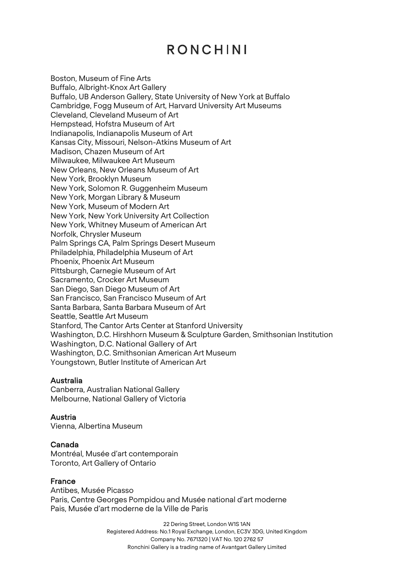Boston, Museum of Fine Arts Buffalo, Albright-Knox Art Gallery Buffalo, UB Anderson Gallery, State University of New York at Buffalo Cambridge, Fogg Museum of Art, Harvard University Art Museums Cleveland, Cleveland Museum of Art Hempstead, Hofstra Museum of Art Indianapolis, Indianapolis Museum of Art Kansas City, Missouri, Nelson-Atkins Museum of Art Madison, Chazen Museum of Art Milwaukee, Milwaukee Art Museum New Orleans, New Orleans Museum of Art New York, Brooklyn Museum New York, Solomon R. Guggenheim Museum New York, Morgan Library & Museum New York, Museum of Modern Art New York, New York University Art Collection New York, Whitney Museum of American Art Norfolk, Chrysler Museum Palm Springs CA, Palm Springs Desert Museum Philadelphia, Philadelphia Museum of Art Phoenix, Phoenix Art Museum Pittsburgh, Carnegie Museum of Art Sacramento, Crocker Art Museum San Diego, San Diego Museum of Art San Francisco, San Francisco Museum of Art Santa Barbara, Santa Barbara Museum of Art Seattle, Seattle Art Museum Stanford, The Cantor Arts Center at Stanford University Washington, D.C. Hirshhorn Museum & Sculpture Garden, Smithsonian Institution Washington, D.C. National Gallery of Art Washington, D.C. Smithsonian American Art Museum Youngstown, Butler Institute of American Art

#### Australia

Canberra, Australian National Gallery Melbourne, National Gallery of Victoria

#### Austria

Vienna, Albertina Museum

#### Canada

Montréal, Musée d'art contemporain Toronto, Art Gallery of Ontario

#### France

Antibes, Musée Picasso Paris, Centre Georges Pompidou and Musée national d'art moderne Pais, Musée d'art moderne de la Ville de Paris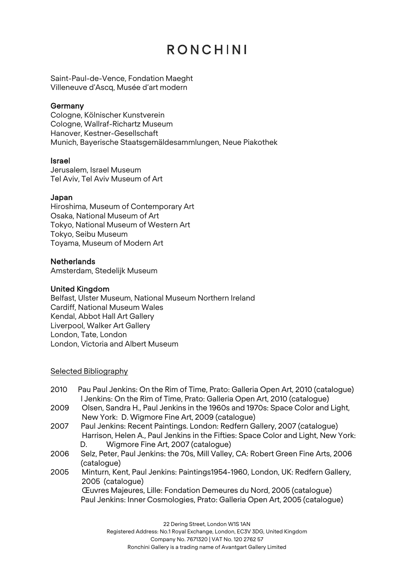Saint-Paul-de-Vence, Fondation Maeght Villeneuve d'Ascq, Musée d'art modern

#### **Germany**

Cologne, Kölnischer Kunstverein Cologne, Wallraf-Richartz Museum Hanover, Kestner-Gesellschaft Munich, Bayerische Staatsgemäldesammlungen, Neue Piakothek

#### Israel

Jerusalem, Israel Museum Tel Aviv, Tel Aviv Museum of Art

#### Japan

Hiroshima, Museum of Contemporary Art Osaka, National Museum of Art Tokyo, National Museum of Western Art Tokyo, Seibu Museum Toyama, Museum of Modern Art

#### **Netherlands**

Amsterdam, Stedelijk Museum

#### United Kingdom

Belfast, Ulster Museum, National Museum Northern Ireland Cardiff, National Museum Wales Kendal, Abbot Hall Art Gallery Liverpool, Walker Art Gallery London, Tate, London London, Victoria and Albert Museum

#### Selected Bibliography

- 2010 Pau Paul Jenkins: On the Rim of Time, Prato: Galleria Open Art, 2010 (catalogue) l Jenkins: On the Rim of Time, Prato: Galleria Open Art, 2010 (catalogue)
- 2009 Olsen, Sandra H., Paul Jenkins in the 1960s and 1970s: Space Color and Light, New York: D. Wigmore Fine Art, 2009 (catalogue)
- 2007 Paul Jenkins: Recent Paintings. London: Redfern Gallery, 2007 (catalogue) Harrison, Helen A., Paul Jenkins in the Fifties: Space Color and Light, New York: D. Wigmore Fine Art, 2007 (catalogue)
- 2006 Selz, Peter, Paul Jenkins: the 70s, Mill Valley, CA: Robert Green Fine Arts, 2006 (catalogue)
- 2005 Minturn, Kent, Paul Jenkins: Paintings1954-1960, London, UK: Redfern Gallery, 2005 (catalogue) Œuvres Majeures, Lille: Fondation Demeures du Nord, 2005 (catalogue) Paul Jenkins: Inner Cosmologies, Prato: Galleria Open Art, 2005 (catalogue)